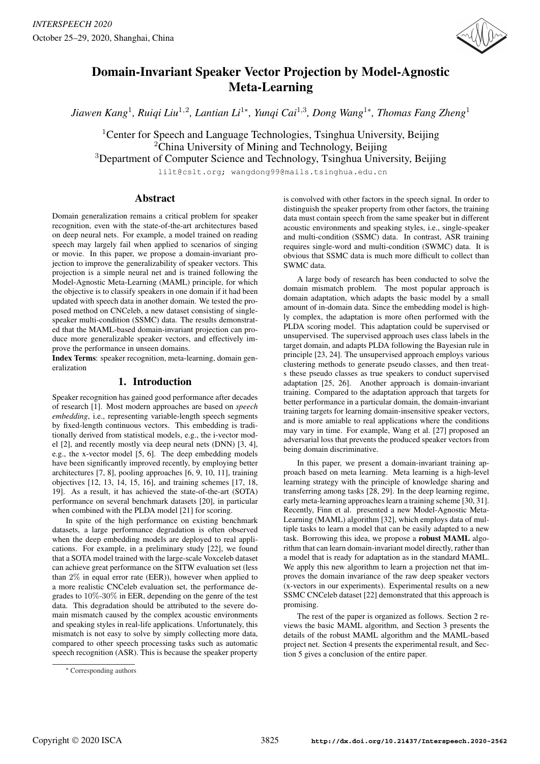

# Domain-Invariant Speaker Vector Projection by Model-Agnostic Meta-Learning

*Jiawen Kang*<sup>1</sup> *, Ruiqi Liu*<sup>1</sup>,<sup>2</sup> *, Lantian Li*<sup>1</sup><sup>∗</sup> *, Yunqi Cai*<sup>1</sup>,<sup>3</sup> *, Dong Wang*<sup>1</sup><sup>∗</sup> *, Thomas Fang Zheng*<sup>1</sup>

<sup>1</sup>Center for Speech and Language Technologies, Tsinghua University, Beijing <sup>2</sup>China University of Mining and Technology, Beijing

<sup>3</sup>Department of Computer Science and Technology, Tsinghua University, Beijing

lilt@cslt.org; wangdong99@mails.tsinghua.edu.cn

# Abstract

Domain generalization remains a critical problem for speaker recognition, even with the state-of-the-art architectures based on deep neural nets. For example, a model trained on reading speech may largely fail when applied to scenarios of singing or movie. In this paper, we propose a domain-invariant projection to improve the generalizability of speaker vectors. This projection is a simple neural net and is trained following the Model-Agnostic Meta-Learning (MAML) principle, for which the objective is to classify speakers in one domain if it had been updated with speech data in another domain. We tested the proposed method on CNCeleb, a new dataset consisting of singlespeaker multi-condition (SSMC) data. The results demonstrated that the MAML-based domain-invariant projection can produce more generalizable speaker vectors, and effectively improve the performance in unseen domains.

Index Terms: speaker recognition, meta-learning, domain generalization

# 1. Introduction

Speaker recognition has gained good performance after decades of research [1]. Most modern approaches are based on *speech embedding*, i.e., representing variable-length speech segments by fixed-length continuous vectors. This embedding is traditionally derived from statistical models, e.g., the i-vector model [2], and recently mostly via deep neural nets (DNN) [3, 4], e.g., the x-vector model [5, 6]. The deep embedding models have been significantly improved recently, by employing better architectures [7, 8], pooling approaches [6, 9, 10, 11], training objectives [12, 13, 14, 15, 16], and training schemes [17, 18, 19]. As a result, it has achieved the state-of-the-art (SOTA) performance on several benchmark datasets [20], in particular when combined with the PLDA model [21] for scoring.

In spite of the high performance on existing benchmark datasets, a large performance degradation is often observed when the deep embedding models are deployed to real applications. For example, in a preliminary study [22], we found that a SOTA model trained with the large-scale Voxceleb dataset can achieve great performance on the SITW evaluation set (less than 2% in equal error rate (EER)), however when applied to a more realistic CNCeleb evaluation set, the performance degrades to 10%-30% in EER, depending on the genre of the test data. This degradation should be attributed to the severe domain mismatch caused by the complex acoustic environments and speaking styles in real-life applications. Unfortunately, this mismatch is not easy to solve by simply collecting more data, compared to other speech processing tasks such as automatic speech recognition (ASR). This is because the speaker property is convolved with other factors in the speech signal. In order to distinguish the speaker property from other factors, the training data must contain speech from the same speaker but in different acoustic environments and speaking styles, i.e., single-speaker and multi-condition (SSMC) data. In contrast, ASR training requires single-word and multi-condition (SWMC) data. It is obvious that SSMC data is much more difficult to collect than SWMC data.

A large body of research has been conducted to solve the domain mismatch problem. The most popular approach is domain adaptation, which adapts the basic model by a small amount of in-domain data. Since the embedding model is highly complex, the adaptation is more often performed with the PLDA scoring model. This adaptation could be supervised or unsupervised. The supervised approach uses class labels in the target domain, and adapts PLDA following the Bayesian rule in principle [23, 24]. The unsupervised approach employs various clustering methods to generate pseudo classes, and then treats these pseudo classes as true speakers to conduct supervised adaptation [25, 26]. Another approach is domain-invariant training. Compared to the adaptation approach that targets for better performance in a particular domain, the domain-invariant training targets for learning domain-insensitive speaker vectors, and is more amiable to real applications where the conditions may vary in time. For example, Wang et al. [27] proposed an adversarial loss that prevents the produced speaker vectors from being domain discriminative.

In this paper, we present a domain-invariant training approach based on meta learning. Meta learning is a high-level learning strategy with the principle of knowledge sharing and transferring among tasks [28, 29]. In the deep learning regime, early meta-learning approaches learn a training scheme [30, 31]. Recently, Finn et al. presented a new Model-Agnostic Meta-Learning (MAML) algorithm [32], which employs data of multiple tasks to learn a model that can be easily adapted to a new task. Borrowing this idea, we propose a robust MAML algorithm that can learn domain-invariant model directly, rather than a model that is ready for adaptation as in the standard MAML. We apply this new algorithm to learn a projection net that improves the domain invariance of the raw deep speaker vectors (x-vectors in our experiments). Experimental results on a new SSMC CNCeleb dataset [22] demonstrated that this approach is promising.

The rest of the paper is organized as follows. Section 2 reviews the basic MAML algorithm, and Section 3 presents the details of the robust MAML algorithm and the MAML-based project net. Section 4 presents the experimental result, and Section 5 gives a conclusion of the entire paper.

<sup>∗</sup> Corresponding authors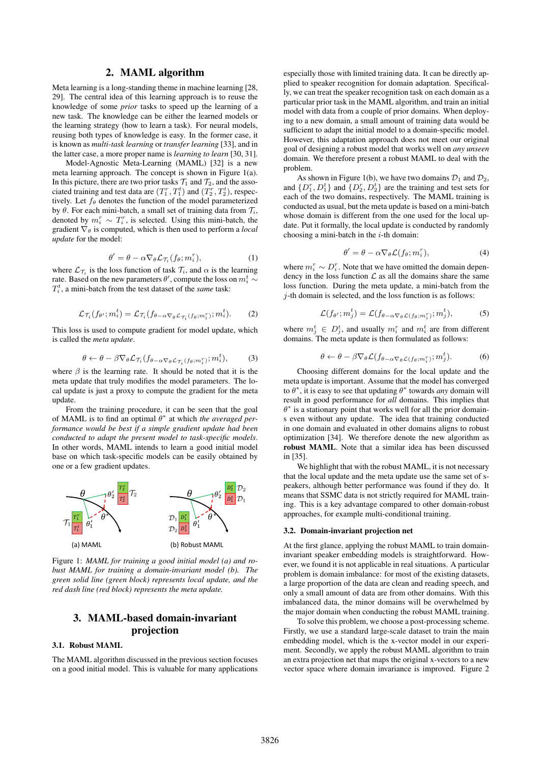# 2. MAML algorithm

Meta learning is a long-standing theme in machine learning [28, 29]. The central idea of this learning approach is to reuse the knowledge of some *prior* tasks to speed up the learning of a new task. The knowledge can be either the learned models or the learning strategy (how to learn a task). For neural models, reusing both types of knowledge is easy. In the former case, it is known as *multi-task learning* or *transfer learning* [33], and in the latter case, a more proper name is *learning to learn* [30, 31].

Model-Agnostic Meta-Learning (MAML) [32] is a new meta learning approach. The concept is shown in Figure 1(a). In this picture, there are two prior tasks  $\mathcal{T}_1$  and  $\mathcal{T}_2$ , and the associated training and test data are  $(T_1^r, T_1^t)$  and  $(T_2^r, T_2^t)$ , respectively. Let  $f_{\theta}$  denotes the function of the model parameterized by  $\theta$ . For each mini-batch, a small set of training data from  $\mathcal{T}_i$ , denoted by  $m_i^r \sim T_i^r$ , is selected. Using this mini-batch, the gradient  $\nabla_{\theta}$  is computed, which is then used to perform a *local update* for the model:

$$
\theta' = \theta - \alpha \nabla_{\theta} \mathcal{L}_{\mathcal{T}_i}(f_{\theta}; m_i^r), \tag{1}
$$

where  $\mathcal{L}_{\mathcal{T}_i}$  is the loss function of task  $\mathcal{T}_i$ , and  $\alpha$  is the learning rate. Based on the new parameters  $\theta',$  compute the loss on  $m_i^t \sim$  $T_i^t$ , a mini-batch from the test dataset of the *same* task:

$$
\mathcal{L}_{\mathcal{T}_i}(f_{\theta'}; m_i^t) = \mathcal{L}_{\mathcal{T}_i}(f_{\theta - \alpha \nabla_{\theta} \mathcal{L}_{\mathcal{T}_i}(f_{\theta}; m_i^r)}; m_i^t). \tag{2}
$$

This loss is used to compute gradient for model update, which is called the *meta update*.

$$
\theta \leftarrow \theta - \beta \nabla_{\theta} \mathcal{L}_{\mathcal{T}_i} (f_{\theta - \alpha \nabla_{\theta} \mathcal{L}_{\mathcal{T}_i} (f_{\theta}; m_i^r)}; m_i^t), \tag{3}
$$

where  $\beta$  is the learning rate. It should be noted that it is the meta update that truly modifies the model parameters. The local update is just a proxy to compute the gradient for the meta update.

From the training procedure, it can be seen that the goal of MAML is to find an optimal  $\theta^*$  at which *the averaged performance would be best if a simple gradient update had been conducted to adapt the present model to task-specific models*. In other words, MAML intends to learn a good initial model base on which task-specific models can be easily obtained by one or a few gradient updates.



Figure 1: *MAML for training a good initial model (a) and robust MAML for training a domain-invariant model (b). The green solid line (green block) represents local update, and the red dash line (red block) represents the meta update.*

# 3. MAML-based domain-invariant projection

#### 3.1. Robust MAML

The MAML algorithm discussed in the previous section focuses on a good initial model. This is valuable for many applications especially those with limited training data. It can be directly applied to speaker recognition for domain adaptation. Specifically, we can treat the speaker recognition task on each domain as a particular prior task in the MAML algorithm, and train an initial model with data from a couple of prior domains. When deploying to a new domain, a small amount of training data would be sufficient to adapt the initial model to a domain-specific model. However, this adaptation approach does not meet our original goal of designing a robust model that works well on *any unseen* domain. We therefore present a robust MAML to deal with the problem.

As shown in Figure 1(b), we have two domains  $\mathcal{D}_1$  and  $\mathcal{D}_2$ , and  $\{D_1^r, D_1^t\}$  and  $\{D_2^r, D_2^t\}$  are the training and test sets for each of the two domains, respectively. The MAML training is conducted as usual, but the meta update is based on a mini-batch whose domain is different from the one used for the local update. Put it formally, the local update is conducted by randomly choosing a mini-batch in the  $i$ -th domain:

$$
\theta' = \theta - \alpha \nabla_{\theta} \mathcal{L}(f_{\theta}; m_i^r), \tag{4}
$$

where  $m_i^r \sim D_i^r$ . Note that we have omitted the domain dependency in the loss function  $\mathcal L$  as all the domains share the same loss function. During the meta update, a mini-batch from the  $j$ -th domain is selected, and the loss function is as follows:

$$
\mathcal{L}(f_{\theta'}; m_j^t) = \mathcal{L}(f_{\theta - \alpha \nabla_{\theta} \mathcal{L}(f_{\theta}; m_i^r)}; m_j^t), \tag{5}
$$

where  $m_j^t \in D_j^t$ , and usually  $m_i^r$  and  $m_i^t$  are from different domains. The meta update is then formulated as follows:

$$
\theta \leftarrow \theta - \beta \nabla_{\theta} \mathcal{L}(f_{\theta - \alpha \nabla_{\theta} \mathcal{L}(f_{\theta}; m_i^r)}; m_j^t). \tag{6}
$$

Choosing different domains for the local update and the meta update is important. Assume that the model has converged to  $\theta^*$ , it is easy to see that updating  $\theta^*$  towards *any* domain will result in good performance for *all* domains. This implies that  $\theta^*$  is a stationary point that works well for all the prior domains even without any update. The idea that training conducted in one domain and evaluated in other domains aligns to robust optimization [34]. We therefore denote the new algorithm as robust MAML. Note that a similar idea has been discussed in [35].

We highlight that with the robust MAML, it is not necessary that the local update and the meta update use the same set of speakers, although better performance was found if they do. It means that SSMC data is not strictly required for MAML training. This is a key advantage compared to other domain-robust approaches, for example multi-conditional training.

#### 3.2. Domain-invariant projection net

At the first glance, applying the robust MAML to train domaininvariant speaker embedding models is straightforward. However, we found it is not applicable in real situations. A particular problem is domain imbalance: for most of the existing datasets, a large proportion of the data are clean and reading speech, and only a small amount of data are from other domains. With this imbalanced data, the minor domains will be overwhelmed by the major domain when conducting the robust MAML training.

To solve this problem, we choose a post-processing scheme. Firstly, we use a standard large-scale dataset to train the main embedding model, which is the x-vector model in our experiment. Secondly, we apply the robust MAML algorithm to train an extra projection net that maps the original x-vectors to a new vector space where domain invariance is improved. Figure 2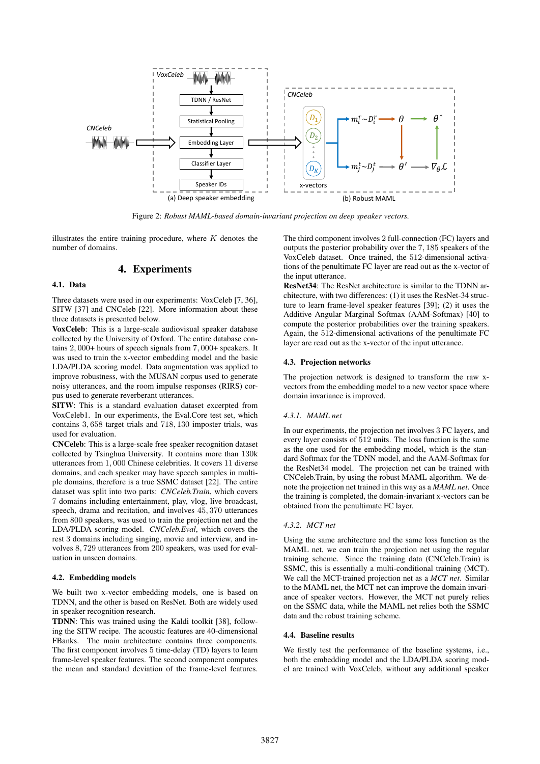

Figure 2: *Robust MAML-based domain-invariant projection on deep speaker vectors.*

illustrates the entire training procedure, where  $K$  denotes the number of domains.

# 4. Experiments

# 4.1. Data

Three datasets were used in our experiments: VoxCeleb [7, 36], SITW [37] and CNCeleb [22]. More information about these three datasets is presented below.

VoxCeleb: This is a large-scale audiovisual speaker database collected by the University of Oxford. The entire database contains 2, 000+ hours of speech signals from 7, 000+ speakers. It was used to train the x-vector embedding model and the basic LDA/PLDA scoring model. Data augmentation was applied to improve robustness, with the MUSAN corpus used to generate noisy utterances, and the room impulse responses (RIRS) corpus used to generate reverberant utterances.

SITW: This is a standard evaluation dataset excerpted from VoxCeleb1. In our experiments, the Eval.Core test set, which contains 3, 658 target trials and 718, 130 imposter trials, was used for evaluation.

CNCeleb: This is a large-scale free speaker recognition dataset collected by Tsinghua University. It contains more than 130k utterances from 1, 000 Chinese celebrities. It covers 11 diverse domains, and each speaker may have speech samples in multiple domains, therefore is a true SSMC dataset [22]. The entire dataset was split into two parts: *CNCeleb.Train*, which covers 7 domains including entertainment, play, vlog, live broadcast, speech, drama and recitation, and involves 45, 370 utterances from 800 speakers, was used to train the projection net and the LDA/PLDA scoring model. *CNCeleb.Eval*, which covers the rest 3 domains including singing, movie and interview, and involves 8, 729 utterances from 200 speakers, was used for evaluation in unseen domains.

#### 4.2. Embedding models

We built two x-vector embedding models, one is based on TDNN, and the other is based on ResNet. Both are widely used in speaker recognition research.

TDNN: This was trained using the Kaldi toolkit [38], following the SITW recipe. The acoustic features are 40-dimensional FBanks. The main architecture contains three components. The first component involves 5 time-delay (TD) layers to learn frame-level speaker features. The second component computes the mean and standard deviation of the frame-level features.

The third component involves 2 full-connection (FC) layers and outputs the posterior probability over the 7, 185 speakers of the VoxCeleb dataset. Once trained, the 512-dimensional activations of the penultimate FC layer are read out as the x-vector of the input utterance.

ResNet34: The ResNet architecture is similar to the TDNN architecture, with two differences: (1) it uses the ResNet-34 structure to learn frame-level speaker features [39]; (2) it uses the Additive Angular Marginal Softmax (AAM-Softmax) [40] to compute the posterior probabilities over the training speakers. Again, the 512-dimensional activations of the penultimate FC layer are read out as the x-vector of the input utterance.

#### 4.3. Projection networks

The projection network is designed to transform the raw xvectors from the embedding model to a new vector space where domain invariance is improved.

#### *4.3.1. MAML net*

In our experiments, the projection net involves 3 FC layers, and every layer consists of 512 units. The loss function is the same as the one used for the embedding model, which is the standard Softmax for the TDNN model, and the AAM-Softmax for the ResNet34 model. The projection net can be trained with CNCeleb.Train, by using the robust MAML algorithm. We denote the projection net trained in this way as a *MAML net*. Once the training is completed, the domain-invariant x-vectors can be obtained from the penultimate FC layer.

## *4.3.2. MCT net*

Using the same architecture and the same loss function as the MAML net, we can train the projection net using the regular training scheme. Since the training data (CNCeleb.Train) is SSMC, this is essentially a multi-conditional training (MCT). We call the MCT-trained projection net as a *MCT net*. Similar to the MAML net, the MCT net can improve the domain invariance of speaker vectors. However, the MCT net purely relies on the SSMC data, while the MAML net relies both the SSMC data and the robust training scheme.

#### 4.4. Baseline results

We firstly test the performance of the baseline systems, i.e., both the embedding model and the LDA/PLDA scoring model are trained with VoxCeleb, without any additional speaker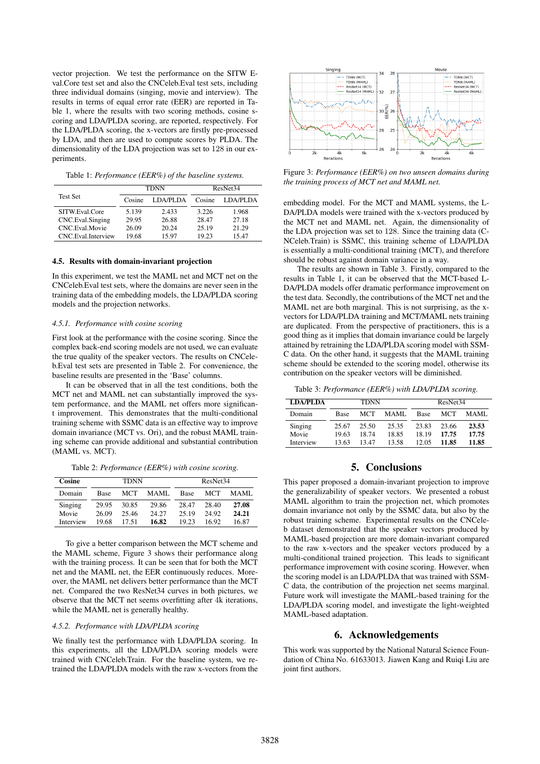vector projection. We test the performance on the SITW Eval.Core test set and also the CNCeleb.Eval test sets, including three individual domains (singing, movie and interview). The results in terms of equal error rate (EER) are reported in Table 1, where the results with two scoring methods, cosine scoring and LDA/PLDA scoring, are reported, respectively. For the LDA/PLDA scoring, the x-vectors are firstly pre-processed by LDA, and then are used to compute scores by PLDA. The dimensionality of the LDA projection was set to 128 in our experiments.

Table 1: *Performance (EER%) of the baseline systems.*

|                    | <b>TDNN</b> |          | ResNet <sub>34</sub> |          |  |
|--------------------|-------------|----------|----------------------|----------|--|
| <b>Test Set</b>    | Cosine      | LDA/PLDA | Cosine               | LDA/PLDA |  |
| SITW Eval Core     | 5.139       | 2.433    | 3 226                | 1.968    |  |
| CNC.Eval.Singing   | 29.95       | 26.88    | 28.47                | 27.18    |  |
| CNC. Eval. Movie   | 26.09       | 20.24    | 25.19                | 21.29    |  |
| CNC Eval Interview | 19.68       | 15.97    | 19.23                | 1547     |  |

#### 4.5. Results with domain-invariant projection

In this experiment, we test the MAML net and MCT net on the CNCeleb.Eval test sets, where the domains are never seen in the training data of the embedding models, the LDA/PLDA scoring models and the projection networks.

# *4.5.1. Performance with cosine scoring*

First look at the performance with the cosine scoring. Since the complex back-end scoring models are not used, we can evaluate the true quality of the speaker vectors. The results on CNCeleb.Eval test sets are presented in Table 2. For convenience, the baseline results are presented in the 'Base' columns.

It can be observed that in all the test conditions, both the MCT net and MAML net can substantially improved the system performance, and the MAML net offers more significant improvement. This demonstrates that the multi-conditional training scheme with SSMC data is an effective way to improve domain invariance (MCT vs. Ori), and the robust MAML training scheme can provide additional and substantial contribution (MAML vs. MCT).

Table 2: *Performance (EER%) with cosine scoring.*

| Cosine    | TDNN        |       |       | ResNet <sub>34</sub> |       |       |
|-----------|-------------|-------|-------|----------------------|-------|-------|
| Domain    | <b>Base</b> | MCT   | MAML. | <b>Base</b>          | MCT   | MAML. |
| Singing   | 29.95       | 30.85 | 29.86 | 28.47                | 28.40 | 27.08 |
| Movie     | 26.09       | 25.46 | 24.27 | 25.19                | 24.92 | 24.21 |
| Interview | 19.68       | 17.51 | 16.82 | 19.23                | 16.92 | 16.87 |

To give a better comparison between the MCT scheme and the MAML scheme, Figure 3 shows their performance along with the training process. It can be seen that for both the MCT net and the MAML net, the EER continuously reduces. Moreover, the MAML net delivers better performance than the MCT net. Compared the two ResNet34 curves in both pictures, we observe that the MCT net seems overfitting after 4k iterations, while the MAML net is generally healthy.

#### *4.5.2. Performance with LDA/PLDA scoring*

We finally test the performance with LDA/PLDA scoring. In this experiments, all the LDA/PLDA scoring models were trained with CNCeleb.Train. For the baseline system, we retrained the LDA/PLDA models with the raw x-vectors from the



Figure 3: *Performance (EER%) on two unseen domains during the training process of MCT net and MAML net.*

embedding model. For the MCT and MAML systems, the L-DA/PLDA models were trained with the x-vectors produced by the MCT net and MAML net. Again, the dimensionality of the LDA projection was set to 128. Since the training data (C-NCeleb.Train) is SSMC, this training scheme of LDA/PLDA is essentially a multi-conditional training (MCT), and therefore should be robust against domain variance in a way.

The results are shown in Table 3. Firstly, compared to the results in Table 1, it can be observed that the MCT-based L-DA/PLDA models offer dramatic performance improvement on the test data. Secondly, the contributions of the MCT net and the MAML net are both marginal. This is not surprising, as the xvectors for LDA/PLDA training and MCT/MAML nets training are duplicated. From the perspective of practitioners, this is a good thing as it implies that domain invariance could be largely attained by retraining the LDA/PLDA scoring model with SSM-C data. On the other hand, it suggests that the MAML training scheme should be extended to the scoring model, otherwise its contribution on the speaker vectors will be diminished.

Table 3: *Performance (EER%) with LDA/PLDA scoring.*

| <b>LDA/PLDA</b> | <b>TDNN</b> |       |       | ResNet <sub>34</sub> |       |       |
|-----------------|-------------|-------|-------|----------------------|-------|-------|
| Domain          | <b>Base</b> | MCT   | MAML. | <b>Base</b>          | MCT   | MAML. |
| Singing         | 25.67       | 25.50 | 25.35 | 23.83                | 23.66 | 23.53 |
| Movie           | 19.63       | 18 74 | 18.85 | 18 19                | 17.75 | 17.75 |
| Interview       | 13.63       | 1347  | 13.58 | 12.05                | 11.85 | 11.85 |

## 5. Conclusions

This paper proposed a domain-invariant projection to improve the generalizability of speaker vectors. We presented a robust MAML algorithm to train the projection net, which promotes domain invariance not only by the SSMC data, but also by the robust training scheme. Experimental results on the CNCeleb dataset demonstrated that the speaker vectors produced by MAML-based projection are more domain-invariant compared to the raw x-vectors and the speaker vectors produced by a multi-conditional trained projection. This leads to significant performance improvement with cosine scoring. However, when the scoring model is an LDA/PLDA that was trained with SSM-C data, the contribution of the projection net seems marginal. Future work will investigate the MAML-based training for the LDA/PLDA scoring model, and investigate the light-weighted MAML-based adaptation.

# 6. Acknowledgements

This work was supported by the National Natural Science Foundation of China No. 61633013. Jiawen Kang and Ruiqi Liu are joint first authors.